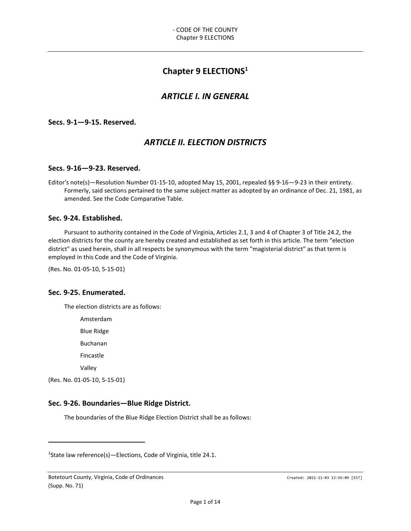# Chapter 9 ELECTIONS<sup>1</sup>

# ARTICLE I. IN GENERAL

Secs. 9-1—9-15. Reserved.

# ARTICLE II. ELECTION DISTRICTS

## Secs. 9-16—9-23. Reserved.

Editor's note(s)—Resolution Number 01-15-10, adopted May 15, 2001, repealed §§ 9-16—9-23 in their entirety. Formerly, said sections pertained to the same subject matter as adopted by an ordinance of Dec. 21, 1981, as amended. See the Code Comparative Table.

## Sec. 9-24. Established.

Pursuant to authority contained in the Code of Virginia, Articles 2.1, 3 and 4 of Chapter 3 of Title 24.2, the election districts for the county are hereby created and established as set forth in this article. The term "election district" as used herein, shall in all respects be synonymous with the term "magisterial district" as that term is employed in this Code and the Code of Virginia.

(Res. No. 01-05-10, 5-15-01)

# Sec. 9-25. Enumerated.

The election districts are as follows:

Amsterdam

Blue Ridge

Buchanan

Fincastle

Valley

(Res. No. 01-05-10, 5-15-01)

l

# Sec. 9-26. Boundaries—Blue Ridge District.

The boundaries of the Blue Ridge Election District shall be as follows:

<sup>1</sup>State law reference(s)—Elections, Code of Virginia, title 24.1.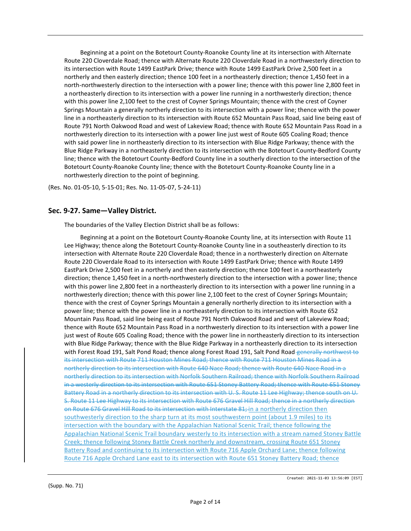Beginning at a point on the Botetourt County-Roanoke County line at its intersection with Alternate Route 220 Cloverdale Road; thence with Alternate Route 220 Cloverdale Road in a northwesterly direction to its intersection with Route 1499 EastPark Drive; thence with Route 1499 EastPark Drive 2,500 feet in a northerly and then easterly direction; thence 100 feet in a northeasterly direction; thence 1,450 feet in a north-northwesterly direction to the intersection with a power line; thence with this power line 2,800 feet in a northeasterly direction to its intersection with a power line running in a northwesterly direction; thence with this power line 2,100 feet to the crest of Coyner Springs Mountain; thence with the crest of Coyner Springs Mountain a generally northerly direction to its intersection with a power line; thence with the power line in a northeasterly direction to its intersection with Route 652 Mountain Pass Road, said line being east of Route 791 North Oakwood Road and west of Lakeview Road; thence with Route 652 Mountain Pass Road in a northwesterly direction to its intersection with a power line just west of Route 605 Coaling Road; thence with said power line in northeasterly direction to its intersection with Blue Ridge Parkway; thence with the Blue Ridge Parkway in a northeasterly direction to its intersection with the Botetourt County-Bedford County line; thence with the Botetourt County-Bedford County line in a southerly direction to the intersection of the Botetourt County-Roanoke County line; thence with the Botetourt County-Roanoke County line in a northwesterly direction to the point of beginning.

(Res. No. 01-05-10, 5-15-01; Res. No. 11-05-07, 5-24-11)

## Sec. 9-27. Same—Valley District.

The boundaries of the Valley Election District shall be as follows:

Beginning at a point on the Botetourt County-Roanoke County line, at its intersection with Route 11 Lee Highway; thence along the Botetourt County-Roanoke County line in a southeasterly direction to its intersection with Alternate Route 220 Cloverdale Road; thence in a northwesterly direction on Alternate Route 220 Cloverdale Road to its intersection with Route 1499 EastPark Drive; thence with Route 1499 EastPark Drive 2,500 feet in a northerly and then easterly direction; thence 100 feet in a northeasterly direction; thence 1,450 feet in a north-northwesterly direction to the intersection with a power line; thence with this power line 2,800 feet in a northeasterly direction to its intersection with a power line running in a northwesterly direction; thence with this power line 2,100 feet to the crest of Coyner Springs Mountain; thence with the crest of Coyner Springs Mountain a generally northerly direction to its intersection with a power line; thence with the power line in a northeasterly direction to its intersection with Route 652 Mountain Pass Road, said line being east of Route 791 North Oakwood Road and west of Lakeview Road; thence with Route 652 Mountain Pass Road in a northwesterly direction to its intersection with a power line just west of Route 605 Coaling Road; thence with the power line in northeasterly direction to its intersection with Blue Ridge Parkway; thence with the Blue Ridge Parkway in a northeasterly direction to its intersection with Forest Road 191, Salt Pond Road; thence along Forest Road 191, Salt Pond Road-generally northwest to its intersection with Route 711 Houston Mines Road; thence with Route 711 Houston Mines Road in a northerly direction to its intersection with Route 640 Nace Road; thence with Route 640 Nace Road in a northerly direction to its intersection with Norfolk Southern Railroad; thence with Norfolk Southern Railroad in a westerly direction to its intersection with Route 651 Stoney Battery Road; thence with Route 651 Stoney Battery Road in a northerly direction to its intersection with U. S. Route 11 Lee Highway; thence south on U. S. Route 11 Lee Highway to its intersection with Route 676 Gravel Hill Road; thence in a northerly direction on Route 676 Gravel Hill Road to its intersection with Interstate 81; in a northerly direction then southwesterly direction to the sharp turn at its most southwestern point (about 1.9 miles) to its intersection with the boundary with the Appalachian National Scenic Trail; thence following the Appalachian National Scenic Trail boundary westerly to its intersection with a stream named Stoney Battle Creek; thence following Stoney Battle Creek northerly and downstream, crossing Route 651 Stoney Battery Road and continuing to its intersection with Route 716 Apple Orchard Lane; thence following Route 716 Apple Orchard Lane east to its intersection with Route 651 Stoney Battery Road; thence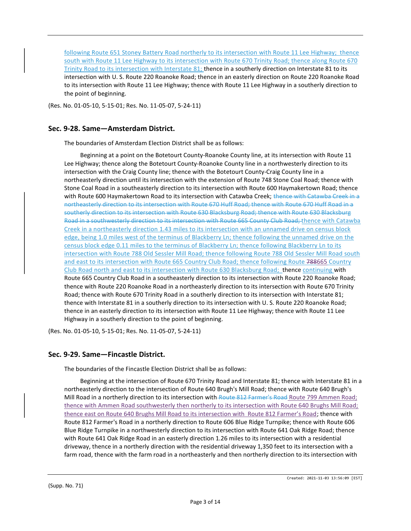following Route 651 Stoney Battery Road northerly to its intersection with Route 11 Lee Highway; thence south with Route 11 Lee Highway to its intersection with Route 670 Trinity Road; thence along Route 670 Trinity Road to its intersection with Interstate 81; thence in a southerly direction on Interstate 81 to its intersection with U. S. Route 220 Roanoke Road; thence in an easterly direction on Route 220 Roanoke Road to its intersection with Route 11 Lee Highway; thence with Route 11 Lee Highway in a southerly direction to the point of beginning.

(Res. No. 01-05-10, 5-15-01; Res. No. 11-05-07, 5-24-11)

# Sec. 9-28. Same—Amsterdam District.

The boundaries of Amsterdam Election District shall be as follows:

Beginning at a point on the Botetourt County-Roanoke County line, at its intersection with Route 11 Lee Highway; thence along the Botetourt County-Roanoke County line in a northwesterly direction to its intersection with the Craig County line; thence with the Botetourt County-Craig County line in a northeasterly direction until its intersection with the extension of Route 748 Stone Coal Road; thence with Stone Coal Road in a southeasterly direction to its intersection with Route 600 Haymakertown Road; thence with Route 600 Haymakertown Road to its intersection with Catawba Creek; thence with Catawba Creek in a northeasterly direction to its intersection with Route 670 Huff Road; thence with Route 670 Huff Road in a southerly direction to its intersection with Route 630 Blacksburg Road; thence with Route 630 Blacksburg Road in a southwesterly direction to its intersection with Route 665 County Club Road; thence with Catawba Creek in a northeasterly direction 1.43 miles to its intersection with an unnamed drive on census block edge, being 1.0 miles west of the terminus of Blackberry Ln; thence following the unnamed drive on the census block edge 0.11 miles to the terminus of Blackberry Ln; thence following Blackberry Ln to its intersection with Route 788 Old Sessler Mill Road; thence following Route 788 Old Sessler Mill Road south and east to its intersection with Route 665 Country Club Road; thence following Route 788665 Country Club Road north and east to its intersection with Route 630 Blacksburg Road; thence continuing with Route 665 Country Club Road in a southeasterly direction to its intersection with Route 220 Roanoke Road; thence with Route 220 Roanoke Road in a northeasterly direction to its intersection with Route 670 Trinity Road; thence with Route 670 Trinity Road in a southerly direction to its intersection with Interstate 81; thence with Interstate 81 in a southerly direction to its intersection with U. S. Route 220 Roanoke Road; thence in an easterly direction to its intersection with Route 11 Lee Highway; thence with Route 11 Lee Highway in a southerly direction to the point of beginning.

(Res. No. 01-05-10, 5-15-01; Res. No. 11-05-07, 5-24-11)

# Sec. 9-29. Same—Fincastle District.

The boundaries of the Fincastle Election District shall be as follows:

Beginning at the intersection of Route 670 Trinity Road and Interstate 81; thence with Interstate 81 in a northeasterly direction to the intersection of Route 640 Brugh's Mill Road; thence with Route 640 Brugh's Mill Road in a northerly direction to its intersection with Route 812 Farmer's Road Route 799 Ammen Road; thence with Ammen Road southwesterly then northerly to its intersection with Route 640 Brughs Mill Road; thence east on Route 640 Brughs Mill Road to its intersection with Route 812 Farmer's Road; thence with Route 812 Farmer's Road in a northerly direction to Route 606 Blue Ridge Turnpike; thence with Route 606 Blue Ridge Turnpike in a northwesterly direction to its intersection with Route 641 Oak Ridge Road; thence with Route 641 Oak Ridge Road in an easterly direction 1.26 miles to its intersection with a residential driveway, thence in a northerly direction with the residential driveway 1,350 feet to its intersection with a farm road, thence with the farm road in a northeasterly and then northerly direction to its intersection with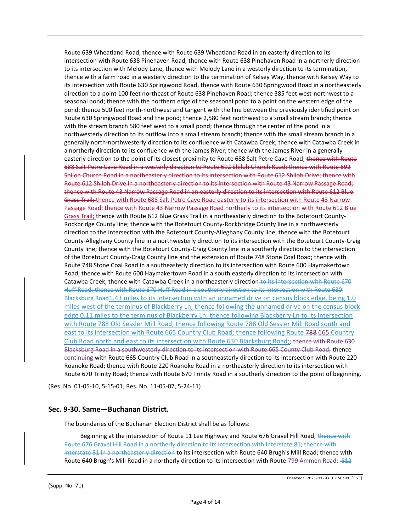Route 639 Wheatland Road, thence with Route 639 Wheatland Road in an easterly direction to its intersection with Route 638 Pinehaven Road, thence with Route 638 Pinehaven Road in a northerly direction to its intersection with Melody Lane, thence with Melody Lane in a westerly direction to its termination, thence with a farm road in a westerly direction to the termination of Kelsey Way, thence with Kelsey Way to its intersection with Route 630 Springwood Road, thence with Route 630 Springwood Road in a northeasterly direction to a point 100 feet northeast of Route 638 Pinehaven Road; thence 385 feet west-northwest to a seasonal pond; thence with the northern edge of the seasonal pond to a point on the western edge of the pond; thence 500 feet north-northwest and tangent with the line between the previously identified point on Route 630 Springwood Road and the pond; thence 2,580 feet northwest to a small stream branch; thence with the stream branch 580 feet west to a small pond; thence through the center of the pond in a northwesterly direction to its outflow into a small stream branch; thence with the small stream branch in a generally north-northwesterly direction to its confluence with Catawba Creek; thence with Catawba Creek in a northerly direction to its confluence with the James River; thence with the James River in a generally easterly direction to the point of its closest proximity to Route 688 Salt Petre Cave Road; thence with Route 688 Salt Petre Cave Road in a westerly direction to Route 692 Shiloh Church Road; thence with Route 692 Shiloh Church Road in a northeasterly direction to its intersection with Route 612 Shiloh Drive; thence with Route 612 Shiloh Drive in a northeasterly direction to its intersection with Route 43 Narrow Passage Road; thence with Route 43 Narrow Passage Road in an easterly direction to its intersection with Route 612 Blue Grass Trail; thence with Route 688 Salt Petre Cave Road easterly to its intersection with Route 43 Narrow Passage Road; thence with Route 43 Narrow Passage Road northerly to its intersection with Route 612 Blue Grass Trail; thence with Route 612 Blue Grass Trail in a northeasterly direction to the Botetourt County-Rockbridge County line; thence with the Botetourt County-Rockbridge County line in a northwesterly direction to the intersection with the Botetourt County-Alleghany County line; thence with the Botetourt County-Alleghany County line in a northwesterly direction to its intersection with the Botetourt County-Craig County line; thence with the Botetourt County-Craig County line in a southerly direction to the intersection of the Botetourt County-Craig County line and the extension of Route 748 Stone Coal Road; thence with Route 748 Stone Coal Road in a southeasterly direction to its intersection with Route 600 Haymakertown Road; thence with Route 600 Haymakertown Road in a south easterly direction to its intersection with Catawba Creek; thence with Catawba Creek in a northeasterly direction to its intersection with Route 670 Huff Road; thence with Route 670 Huff Road in a southerly direction to its intersection with Route 630 Blacksburg Road1.43 miles to its intersection with an unnamed drive on census block edge, being 1.0 miles west of the terminus of Blackberry Ln; thence following the unnamed drive on the census block edge 0.11 miles to the terminus of Blackberry Ln; thence following Blackberry Ln to its intersection with Route 788 Old Sessler Mill Road; thence following Route 788 Old Sessler Mill Road south and east to its intersection with Route 665 Country Club Road; thence following Route 788 665 Country Club Road north and east to its intersection with Route 630 Blacksburg Road; thence with Route 630 Blacksburg Road in a southwesterly direction to its intersection with Route 665 County Club Road; thence continuing with Route 665 Country Club Road in a southeasterly direction to its intersection with Route 220 Roanoke Road; thence with Route 220 Roanoke Road in a northeasterly direction to its intersection with Route 670 Trinity Road; thence with Route 670 Trinity Road in a southerly direction to the point of beginning.

(Res. No. 01-05-10, 5-15-01; Res. No. 11-05-07, 5-24-11)

### Sec. 9-30. Same—Buchanan District.

The boundaries of the Buchanan Election District shall be as follows:

Beginning at the intersection of Route 11 Lee Highway and Route 676 Gravel Hill Road; thence with Route 676 Gravel Hill Road in a northerly direction to its intersection with Interstate 81; thence with Interstate 81 in a northeasterly direction to its intersection with Route 640 Brugh's Mill Road; thence with Route 640 Brugh's Mill Road in a northerly direction to its intersection with Route 799 Ammen Road; -812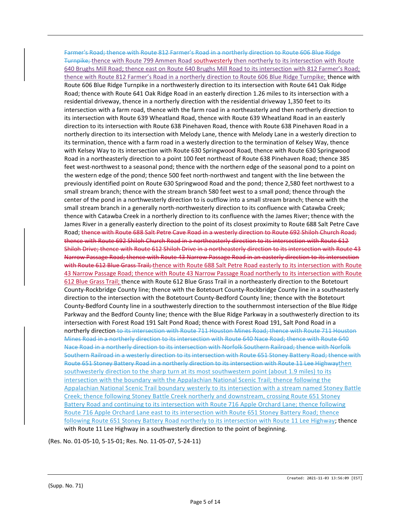Farmer's Road; thence with Route 812 Farmer's Road in a northerly direction to Route 606 Blue Ridge Turnpike; thence with Route 799 Ammen Road southwesterly then northerly to its intersection with Route 640 Brughs Mill Road; thence east on Route 640 Brughs Mill Road to its intersection with 812 Farmer's Road; thence with Route 812 Farmer's Road in a northerly direction to Route 606 Blue Ridge Turnpike; thence with Route 606 Blue Ridge Turnpike in a northwesterly direction to its intersection with Route 641 Oak Ridge Road; thence with Route 641 Oak Ridge Road in an easterly direction 1.26 miles to its intersection with a residential driveway, thence in a northerly direction with the residential driveway 1,350 feet to its intersection with a farm road, thence with the farm road in a northeasterly and then northerly direction to its intersection with Route 639 Wheatland Road, thence with Route 639 Wheatland Road in an easterly direction to its intersection with Route 638 Pinehaven Road, thence with Route 638 Pinehaven Road in a northerly direction to its intersection with Melody Lane, thence with Melody Lane in a westerly direction to its termination, thence with a farm road in a westerly direction to the termination of Kelsey Way, thence with Kelsey Way to its intersection with Route 630 Springwood Road, thence with Route 630 Springwood Road in a northeasterly direction to a point 100 feet northeast of Route 638 Pinehaven Road; thence 385 feet west-northwest to a seasonal pond; thence with the northern edge of the seasonal pond to a point on the western edge of the pond; thence 500 feet north-northwest and tangent with the line between the previously identified point on Route 630 Springwood Road and the pond; thence 2,580 feet northwest to a small stream branch; thence with the stream branch 580 feet west to a small pond; thence through the center of the pond in a northwesterly direction to is outflow into a small stream branch; thence with the small stream branch in a generally north-northwesterly direction to its confluence with Catawba Creek; thence with Catawba Creek in a northerly direction to its confluence with the James River; thence with the James River in a generally easterly direction to the point of its closest proximity to Route 688 Salt Petre Cave Road; thence with Route 688 Salt Petre Cave Road in a westerly direction to Route 692 Shiloh Church Road; thence with Route 692 Shiloh Church Road in a northeasterly direction to its intersection with Route 612 Shiloh Drive; thence with Route 612 Shiloh Drive in a northeasterly direction to its intersection with Route 43 Narrow Passage Road; thence with Route 43 Narrow Passage Road in an easterly direction to its intersection with Route 612 Blue Grass Trail; thence with Route 688 Salt Petre Road easterly to its intersection with Route 43 Narrow Passage Road; thence with Route 43 Narrow Passage Road northerly to its intersection with Route 612 Blue Grass Trail; thence with Route 612 Blue Grass Trail in a northeasterly direction to the Botetourt County-Rockbridge County line; thence with the Botetourt County-Rockbridge County line in a southeasterly direction to the intersection with the Botetourt County-Bedford County line; thence with the Botetourt County-Bedford County line in a southwesterly direction to the southernmost intersection of the Blue Ridge Parkway and the Bedford County line; thence with the Blue Ridge Parkway in a southwesterly direction to its intersection with Forest Road 191 Salt Pond Road; thence with Forest Road 191, Salt Pond Road in a northerly direction to its intersection with Route 711 Houston Mines Road; thence with Route 711 Houston Mines Road in a northerly direction to its intersection with Route 640 Nace Road; thence with Route 640 Nace Road in a northerly direction to its intersection with Norfolk Southern Railroad; thence with Norfolk Southern Railroad in a westerly direction to its intersection with Route 651 Stoney Battery Road; thence with Route 651 Stoney Battery Road in a northerly direction to its intersection with Route 11 Lee Highwaythen southwesterly direction to the sharp turn at its most southwestern point (about 1.9 miles) to its intersection with the boundary with the Appalachian National Scenic Trail; thence following the Appalachian National Scenic Trail boundary westerly to its intersection with a stream named Stoney Battle Creek; thence following Stoney Battle Creek northerly and downstream, crossing Route 651 Stoney Battery Road and continuing to its intersection with Route 716 Apple Orchard Lane; thence following Route 716 Apple Orchard Lane east to its intersection with Route 651 Stoney Battery Road; thence following Route 651 Stoney Battery Road northerly to its intersection with Route 11 Lee Highway; thence with Route 11 Lee Highway in a southwesterly direction to the point of beginning.

(Res. No. 01-05-10, 5-15-01; Res. No. 11-05-07, 5-24-11)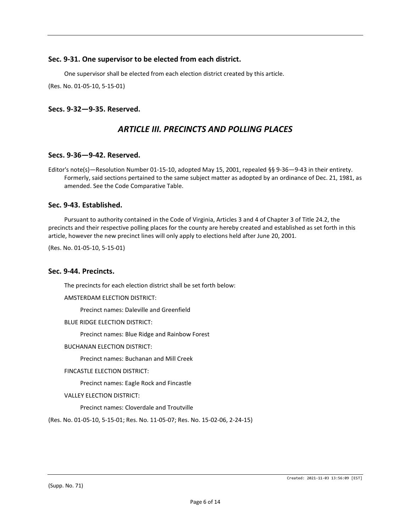# Sec. 9-31. One supervisor to be elected from each district.

One supervisor shall be elected from each election district created by this article.

(Res. No. 01-05-10, 5-15-01)

# Secs. 9-32—9-35. Reserved.

# ARTICLE III. PRECINCTS AND POLLING PLACES

### Secs. 9-36—9-42. Reserved.

Editor's note(s)—Resolution Number 01-15-10, adopted May 15, 2001, repealed §§ 9-36—9-43 in their entirety. Formerly, said sections pertained to the same subject matter as adopted by an ordinance of Dec. 21, 1981, as amended. See the Code Comparative Table.

### Sec. 9-43. Established.

Pursuant to authority contained in the Code of Virginia, Articles 3 and 4 of Chapter 3 of Title 24.2, the precincts and their respective polling places for the county are hereby created and established as set forth in this article, however the new precinct lines will only apply to elections held after June 20, 2001.

(Res. No. 01-05-10, 5-15-01)

### Sec. 9-44. Precincts.

The precincts for each election district shall be set forth below:

AMSTERDAM ELECTION DISTRICT:

Precinct names: Daleville and Greenfield

#### BLUE RIDGE ELECTION DISTRICT:

Precinct names: Blue Ridge and Rainbow Forest

BUCHANAN ELECTION DISTRICT:

Precinct names: Buchanan and Mill Creek

FINCASTLE ELECTION DISTRICT:

Precinct names: Eagle Rock and Fincastle

VALLEY ELECTION DISTRICT:

Precinct names: Cloverdale and Troutville

(Res. No. 01-05-10, 5-15-01; Res. No. 11-05-07; Res. No. 15-02-06, 2-24-15)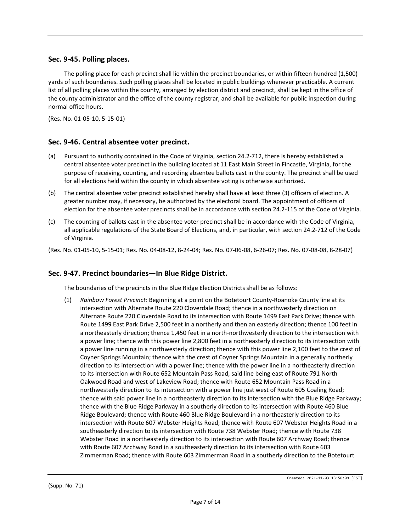# Sec. 9-45. Polling places.

The polling place for each precinct shall lie within the precinct boundaries, or within fifteen hundred (1,500) yards of such boundaries. Such polling places shall be located in public buildings whenever practicable. A current list of all polling places within the county, arranged by election district and precinct, shall be kept in the office of the county administrator and the office of the county registrar, and shall be available for public inspection during normal office hours.

(Res. No. 01-05-10, 5-15-01)

## Sec. 9-46. Central absentee voter precinct.

- (a) Pursuant to authority contained in the Code of Virginia, section 24.2-712, there is hereby established a central absentee voter precinct in the building located at 11 East Main Street in Fincastle, Virginia, for the purpose of receiving, counting, and recording absentee ballots cast in the county. The precinct shall be used for all elections held within the county in which absentee voting is otherwise authorized.
- (b) The central absentee voter precinct established hereby shall have at least three (3) officers of election. A greater number may, if necessary, be authorized by the electoral board. The appointment of officers of election for the absentee voter precincts shall be in accordance with section 24.2-115 of the Code of Virginia.
- (c) The counting of ballots cast in the absentee voter precinct shall be in accordance with the Code of Virginia, all applicable regulations of the State Board of Elections, and, in particular, with section 24.2-712 of the Code of Virginia.
- (Res. No. 01-05-10, 5-15-01; Res. No. 04-08-12, 8-24-04; Res. No. 07-06-08, 6-26-07; Res. No. 07-08-08, 8-28-07)

# Sec. 9-47. Precinct boundaries—In Blue Ridge District.

The boundaries of the precincts in the Blue Ridge Election Districts shall be as follows:

(1) Rainbow Forest Precinct: Beginning at a point on the Botetourt County-Roanoke County line at its intersection with Alternate Route 220 Cloverdale Road; thence in a northwesterly direction on Alternate Route 220 Cloverdale Road to its intersection with Route 1499 East Park Drive; thence with Route 1499 East Park Drive 2,500 feet in a northerly and then an easterly direction; thence 100 feet in a northeasterly direction; thence 1,450 feet in a north-northwesterly direction to the intersection with a power line; thence with this power line 2,800 feet in a northeasterly direction to its intersection with a power line running in a northwesterly direction; thence with this power line 2,100 feet to the crest of Coyner Springs Mountain; thence with the crest of Coyner Springs Mountain in a generally northerly direction to its intersection with a power line; thence with the power line in a northeasterly direction to its intersection with Route 652 Mountain Pass Road, said line being east of Route 791 North Oakwood Road and west of Lakeview Road; thence with Route 652 Mountain Pass Road in a northwesterly direction to its intersection with a power line just west of Route 605 Coaling Road; thence with said power line in a northeasterly direction to its intersection with the Blue Ridge Parkway; thence with the Blue Ridge Parkway in a southerly direction to its intersection with Route 460 Blue Ridge Boulevard; thence with Route 460 Blue Ridge Boulevard in a northeasterly direction to its intersection with Route 607 Webster Heights Road; thence with Route 607 Webster Heights Road in a southeasterly direction to its intersection with Route 738 Webster Road; thence with Route 738 Webster Road in a northeasterly direction to its intersection with Route 607 Archway Road; thence with Route 607 Archway Road in a southeasterly direction to its intersection with Route 603 Zimmerman Road; thence with Route 603 Zimmerman Road in a southerly direction to the Botetourt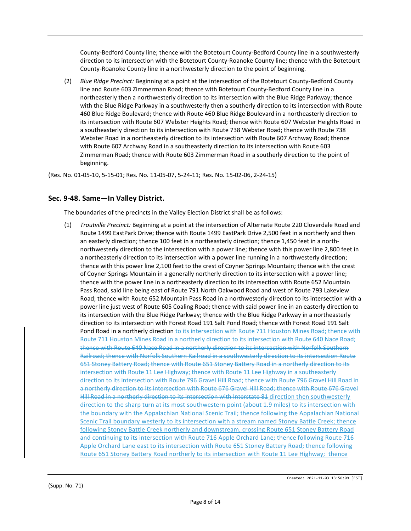County-Bedford County line; thence with the Botetourt County-Bedford County line in a southwesterly direction to its intersection with the Botetourt County-Roanoke County line; thence with the Botetourt County-Roanoke County line in a northwesterly direction to the point of beginning.

(2) Blue Ridge Precinct: Beginning at a point at the intersection of the Botetourt County-Bedford County line and Route 603 Zimmerman Road; thence with Botetourt County-Bedford County line in a northeasterly then a northwesterly direction to its intersection with the Blue Ridge Parkway; thence with the Blue Ridge Parkway in a southwesterly then a southerly direction to its intersection with Route 460 Blue Ridge Boulevard; thence with Route 460 Blue Ridge Boulevard in a northeasterly direction to its intersection with Route 607 Webster Heights Road; thence with Route 607 Webster Heights Road in a southeasterly direction to its intersection with Route 738 Webster Road; thence with Route 738 Webster Road in a northeasterly direction to its intersection with Route 607 Archway Road; thence with Route 607 Archway Road in a southeasterly direction to its intersection with Route 603 Zimmerman Road; thence with Route 603 Zimmerman Road in a southerly direction to the point of beginning.

(Res. No. 01-05-10, 5-15-01; Res. No. 11-05-07, 5-24-11; Res. No. 15-02-06, 2-24-15)

# Sec. 9-48. Same—In Valley District.

The boundaries of the precincts in the Valley Election District shall be as follows:

(1) Troutville Precinct: Beginning at a point at the intersection of Alternate Route 220 Cloverdale Road and Route 1499 EastPark Drive; thence with Route 1499 EastPark Drive 2,500 feet in a northerly and then an easterly direction; thence 100 feet in a northeasterly direction; thence 1,450 feet in a northnorthwesterly direction to the intersection with a power line; thence with this power line 2,800 feet in a northeasterly direction to its intersection with a power line running in a northwesterly direction; thence with this power line 2,100 feet to the crest of Coyner Springs Mountain; thence with the crest of Coyner Springs Mountain in a generally northerly direction to its intersection with a power line; thence with the power line in a northeasterly direction to its intersection with Route 652 Mountain Pass Road, said line being east of Route 791 North Oakwood Road and west of Route 793 Lakeview Road; thence with Route 652 Mountain Pass Road in a northwesterly direction to its intersection with a power line just west of Route 605 Coaling Road; thence with said power line in an easterly direction to its intersection with the Blue Ridge Parkway; thence with the Blue Ridge Parkway in a northeasterly direction to its intersection with Forest Road 191 Salt Pond Road; thence with Forest Road 191 Salt Pond Road in a northerly direction to its intersection with Route 711 Houston Mines Road; thence with Route 711 Houston Mines Road in a northerly direction to its intersection with Route 640 Nace Road; thence with Route 640 Nace Road in a northerly direction to its intersection with Norfolk Southern Railroad; thence with Norfolk Southern Railroad in a southwesterly direction to its intersection Route 651 Stoney Battery Road; thence with Route 651 Stoney Battery Road in a northerly direction to its intersection with Route 11 Lee Highway; thence with Route 11 Lee Highway in a southeasterly direction to its intersection with Route 796 Gravel Hill Road; thence with Route 796 Gravel Hill Road in a northerly direction to its intersection with Route 676 Gravel Hill Road; thence with Route 676 Gravel Hill Road in a northerly direction to its intersection with Interstate 81 direction then southwesterly direction to the sharp turn at its most southwestern point (about 1.9 miles) to its intersection with the boundary with the Appalachian National Scenic Trail; thence following the Appalachian National Scenic Trail boundary westerly to its intersection with a stream named Stoney Battle Creek; thence following Stoney Battle Creek northerly and downstream, crossing Route 651 Stoney Battery Road and continuing to its intersection with Route 716 Apple Orchard Lane; thence following Route 716 Apple Orchard Lane east to its intersection with Route 651 Stoney Battery Road; thence following Route 651 Stoney Battery Road northerly to its intersection with Route 11 Lee Highway; thence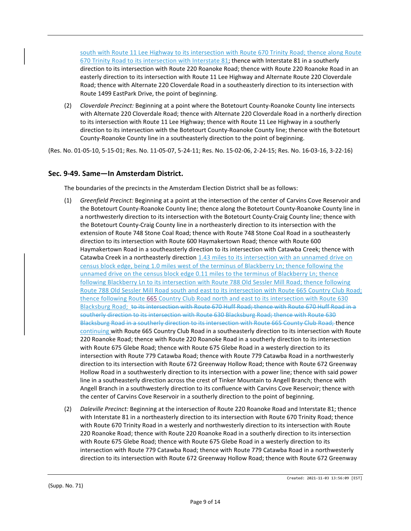south with Route 11 Lee Highway to its intersection with Route 670 Trinity Road; thence along Route 670 Trinity Road to its intersection with Interstate 81; thence with Interstate 81 in a southerly direction to its intersection with Route 220 Roanoke Road; thence with Route 220 Roanoke Road in an easterly direction to its intersection with Route 11 Lee Highway and Alternate Route 220 Cloverdale Road; thence with Alternate 220 Cloverdale Road in a southeasterly direction to its intersection with Route 1499 EastPark Drive, the point of beginning.

(2) Cloverdale Precinct: Beginning at a point where the Botetourt County-Roanoke County line intersects with Alternate 220 Cloverdale Road; thence with Alternate 220 Cloverdale Road in a northerly direction to its intersection with Route 11 Lee Highway; thence with Route 11 Lee Highway in a southerly direction to its intersection with the Botetourt County-Roanoke County line; thence with the Botetourt County-Roanoke County line in a southeasterly direction to the point of beginning.

(Res. No. 01-05-10, 5-15-01; Res. No. 11-05-07, 5-24-11; Res. No. 15-02-06, 2-24-15; Res. No. 16-03-16, 3-22-16)

# Sec. 9-49. Same—In Amsterdam District.

The boundaries of the precincts in the Amsterdam Election District shall be as follows:

- (1) Greenfield Precinct: Beginning at a point at the intersection of the center of Carvins Cove Reservoir and the Botetourt County-Roanoke County line; thence along the Botetourt County-Roanoke County line in a northwesterly direction to its intersection with the Botetourt County-Craig County line; thence with the Botetourt County-Craig County line in a northeasterly direction to its intersection with the extension of Route 748 Stone Coal Road; thence with Route 748 Stone Coal Road in a southeasterly direction to its intersection with Route 600 Haymakertown Road; thence with Route 600 Haymakertown Road in a southeasterly direction to its intersection with Catawba Creek; thence with Catawba Creek in a northeasterly direction 1.43 miles to its intersection with an unnamed drive on census block edge, being 1.0 miles west of the terminus of Blackberry Ln; thence following the unnamed drive on the census block edge 0.11 miles to the terminus of Blackberry Ln; thence following Blackberry Ln to its intersection with Route 788 Old Sessler Mill Road; thence following Route 788 Old Sessler Mill Road south and east to its intersection with Route 665 Country Club Road; thence following Route 665 Country Club Road north and east to its intersection with Route 630 Blacksburg Road; to its intersection with Route 670 Huff Road; thence with Route 670 Huff Road in a southerly direction to its intersection with Route 630 Blacksburg Road; thence with Route 630 Blacksburg Road in a southerly direction to its intersection with Route 665 County Club Road; thence continuing with Route 665 Country Club Road in a southeasterly direction to its intersection with Route 220 Roanoke Road; thence with Route 220 Roanoke Road in a southerly direction to its intersection with Route 675 Glebe Road; thence with Route 675 Glebe Road in a westerly direction to its intersection with Route 779 Catawba Road; thence with Route 779 Catawba Road in a northwesterly direction to its intersection with Route 672 Greenway Hollow Road; thence with Route 672 Greenway Hollow Road in a southwesterly direction to its intersection with a power line; thence with said power line in a southeasterly direction across the crest of Tinker Mountain to Angell Branch; thence with Angell Branch in a southwesterly direction to its confluence with Carvins Cove Reservoir; thence with the center of Carvins Cove Reservoir in a southerly direction to the point of beginning.
- (2) Daleville Precinct: Beginning at the intersection of Route 220 Roanoke Road and Interstate 81; thence with Interstate 81 in a northeasterly direction to its intersection with Route 670 Trinity Road; thence with Route 670 Trinity Road in a westerly and northwesterly direction to its intersection with Route 220 Roanoke Road; thence with Route 220 Roanoke Road in a southerly direction to its intersection with Route 675 Glebe Road; thence with Route 675 Glebe Road in a westerly direction to its intersection with Route 779 Catawba Road; thence with Route 779 Catawba Road in a northwesterly direction to its intersection with Route 672 Greenway Hollow Road; thence with Route 672 Greenway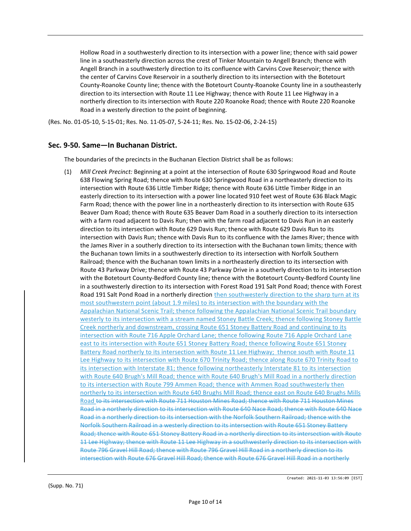Hollow Road in a southwesterly direction to its intersection with a power line; thence with said power line in a southeasterly direction across the crest of Tinker Mountain to Angell Branch; thence with Angell Branch in a southwesterly direction to its confluence with Carvins Cove Reservoir; thence with the center of Carvins Cove Reservoir in a southerly direction to its intersection with the Botetourt County-Roanoke County line; thence with the Botetourt County-Roanoke County line in a southeasterly direction to its intersection with Route 11 Lee Highway; thence with Route 11 Lee Highway in a northerly direction to its intersection with Route 220 Roanoke Road; thence with Route 220 Roanoke Road in a westerly direction to the point of beginning.

(Res. No. 01-05-10, 5-15-01; Res. No. 11-05-07, 5-24-11; Res. No. 15-02-06, 2-24-15)

# Sec. 9-50. Same—In Buchanan District.

The boundaries of the precincts in the Buchanan Election District shall be as follows:

(1) Mill Creek Precinct: Beginning at a point at the intersection of Route 630 Springwood Road and Route 638 Flowing Spring Road; thence with Route 630 Springwood Road in a northeasterly direction to its intersection with Route 636 Little Timber Ridge; thence with Route 636 Little Timber Ridge in an easterly direction to its intersection with a power line located 910 feet west of Route 636 Black Magic Farm Road; thence with the power line in a northeasterly direction to its intersection with Route 635 Beaver Dam Road; thence with Route 635 Beaver Dam Road in a southerly direction to its intersection with a farm road adjacent to Davis Run; then with the farm road adjacent to Davis Run in an easterly direction to its intersection with Route 629 Davis Run; thence with Route 629 Davis Run to its intersection with Davis Run; thence with Davis Run to its confluence with the James River; thence with the James River in a southerly direction to its intersection with the Buchanan town limits; thence with the Buchanan town limits in a southwesterly direction to its intersection with Norfolk Southern Railroad; thence with the Buchanan town limits in a northeasterly direction to its intersection with Route 43 Parkway Drive; thence with Route 43 Parkway Drive in a southerly direction to its intersection with the Botetourt County-Bedford County line; thence with the Botetourt County-Bedford County line in a southwesterly direction to its intersection with Forest Road 191 Salt Pond Road; thence with Forest Road 191 Salt Pond Road in a northerly direction then southwesterly direction to the sharp turn at its most southwestern point (about 1.9 miles) to its intersection with the boundary with the Appalachian National Scenic Trail; thence following the Appalachian National Scenic Trail boundary westerly to its intersection with a stream named Stoney Battle Creek; thence following Stoney Battle Creek northerly and downstream, crossing Route 651 Stoney Battery Road and continuing to its intersection with Route 716 Apple Orchard Lane; thence following Route 716 Apple Orchard Lane east to its intersection with Route 651 Stoney Battery Road; thence following Route 651 Stoney Battery Road northerly to its intersection with Route 11 Lee Highway; thence south with Route 11 Lee Highway to its intersection with Route 670 Trinity Road; thence along Route 670 Trinity Road to its intersection with Interstate 81; thence following northeasterly Interstate 81 to its intersection with Route 640 Brugh's Mill Road; thence with Route 640 Brugh's Mill Road in a northerly direction to its intersection with Route 799 Ammen Road; thence with Ammen Road southwesterly then northerly to its intersection with Route 640 Brughs Mill Road; thence east on Route 640 Brughs Mills Road to its intersection with Route 711 Houston Mines Road; thence with Route 711 Houston Mines Road in a northerly direction to its intersection with Route 640 Nace Road; thence with Route 640 Nace Road in a northerly direction to its intersection with the Norfolk Southern Railroad; thence with the Norfolk Southern Railroad in a westerly direction to its intersection with Route 651 Stoney Battery Road; thence with Route 651 Stoney Battery Road in a northerly direction to its intersection with Route 11 Lee Highway; thence with Route 11 Lee Highway in a southwesterly direction to its intersection with Route 796 Gravel Hill Road; thence with Route 796 Gravel Hill Road in a northerly direction to its intersection with Route 676 Gravel Hill Road; thence with Route 676 Gravel Hill Road in a northerly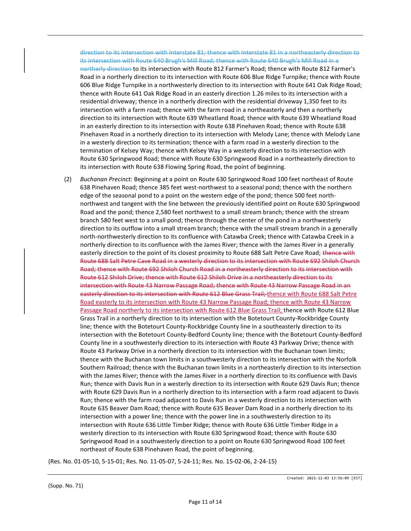direction to its intersection with Interstate 81; thence with Interstate 81 in a northeasterly direction to its intersection with Route 640 Brugh's Mill Road; thence with Route 640 Brugh's Mill Road in a northerly direction to its intersection with Route 812 Farmer's Road; thence with Route 812 Farmer's Road in a northerly direction to its intersection with Route 606 Blue Ridge Turnpike; thence with Route 606 Blue Ridge Turnpike in a northwesterly direction to its intersection with Route 641 Oak Ridge Road; thence with Route 641 Oak Ridge Road in an easterly direction 1.26 miles to its intersection with a residential driveway; thence in a northerly direction with the residential driveway 1,350 feet to its intersection with a farm road; thence with the farm road in a northeasterly and then a northerly direction to its intersection with Route 639 Wheatland Road; thence with Route 639 Wheatland Road in an easterly direction to its intersection with Route 638 Pinehaven Road; thence with Route 638 Pinehaven Road in a northerly direction to its intersection with Melody Lane; thence with Melody Lane in a westerly direction to its termination; thence with a farm road in a westerly direction to the termination of Kelsey Way; thence with Kelsey Way in a westerly direction to its intersection with Route 630 Springwood Road; thence with Route 630 Springwood Road in a northeasterly direction to its intersection with Route 638 Flowing Spring Road, the point of beginning.

(2) Buchanan Precinct: Beginning at a point on Route 630 Springwood Road 100 feet northeast of Route 638 Pinehaven Road; thence 385 feet west-northwest to a seasonal pond; thence with the northern edge of the seasonal pond to a point on the western edge of the pond; thence 500 feet northnorthwest and tangent with the line between the previously identified point on Route 630 Springwood Road and the pond; thence 2,580 feet northwest to a small stream branch; thence with the stream branch 580 feet west to a small pond; thence through the center of the pond in a northwesterly direction to its outflow into a small stream branch; thence with the small stream branch in a generally north-northwesterly direction to its confluence with Catawba Creek; thence with Catawba Creek in a northerly direction to its confluence with the James River; thence with the James River in a generally easterly direction to the point of its closest proximity to Route 688 Salt Petre Cave Road; thence with Route 688 Salt Petre Cave Road in a westerly direction to its intersection with Route 692 Shiloh Church Road; thence with Route 692 Shiloh Church Road in a northeasterly direction to its intersection with Route 612 Shiloh Drive; thence with Route 612 Shiloh Drive in a northeasterly direction to its intersection with Route 43 Narrow Passage Road; thence with Route 43 Narrow Passage Road in an easterly direction to its intersection with Route 612 Blue Grass Trail; thence with Route 688 Salt Petre Road easterly to its intersection with Route 43 Narrow Passage Road; thence with Route 43 Narrow Passage Road northerly to its intersection with Route 612 Blue Grass Trail; thence with Route 612 Blue Grass Trail in a northerly direction to its intersection with the Botetourt County-Rockbridge County line; thence with the Botetourt County-Rockbridge County line in a southeasterly direction to its intersection with the Botetourt County-Bedford County line; thence with the Botetourt County-Bedford County line in a southwesterly direction to its intersection with Route 43 Parkway Drive; thence with Route 43 Parkway Drive in a northerly direction to its intersection with the Buchanan town limits; thence with the Buchanan town limits in a southwesterly direction to its intersection with the Norfolk Southern Railroad; thence with the Buchanan town limits in a northeasterly direction to its intersection with the James River; thence with the James River in a northerly direction to its confluence with Davis Run; thence with Davis Run in a westerly direction to its intersection with Route 629 Davis Run; thence with Route 629 Davis Run in a northerly direction to its intersection with a farm road adjacent to Davis Run; thence with the farm road adjacent to Davis Run in a westerly direction to its intersection with Route 635 Beaver Dam Road; thence with Route 635 Beaver Dam Road in a northerly direction to its intersection with a power line; thence with the power line in a southwesterly direction to its intersection with Route 636 Little Timber Ridge; thence with Route 636 Little Timber Ridge in a westerly direction to its intersection with Route 630 Springwood Road; thence with Route 630 Springwood Road in a southwesterly direction to a point on Route 630 Springwood Road 100 feet northeast of Route 638 Pinehaven Road, the point of beginning.

(Res. No. 01-05-10, 5-15-01; Res. No. 11-05-07, 5-24-11; Res. No. 15-02-06, 2-24-15)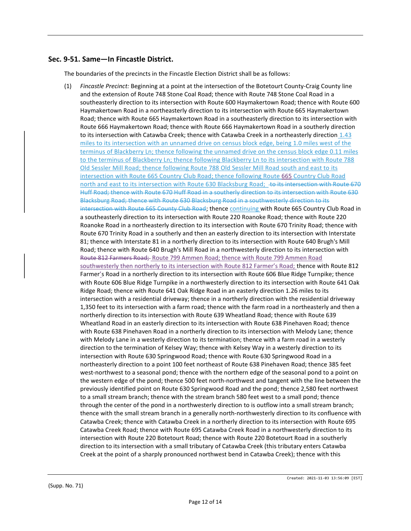# Sec. 9-51. Same—In Fincastle District.

The boundaries of the precincts in the Fincastle Election District shall be as follows:

(1) Fincastle Precinct: Beginning at a point at the intersection of the Botetourt County-Craig County line and the extension of Route 748 Stone Coal Road; thence with Route 748 Stone Coal Road in a southeasterly direction to its intersection with Route 600 Haymakertown Road; thence with Route 600 Haymakertown Road in a northeasterly direction to its intersection with Route 665 Haymakertown Road; thence with Route 665 Haymakertown Road in a southeasterly direction to its intersection with Route 666 Haymakertown Road; thence with Route 666 Haymakertown Road in a southerly direction to its intersection with Catawba Creek; thence with Catawba Creek in a northeasterly direction 1.43 miles to its intersection with an unnamed drive on census block edge, being 1.0 miles west of the terminus of Blackberry Ln; thence following the unnamed drive on the census block edge 0.11 miles to the terminus of Blackberry Ln; thence following Blackberry Ln to its intersection with Route 788 Old Sessler Mill Road; thence following Route 788 Old Sessler Mill Road south and east to its intersection with Route 665 Country Club Road; thence following Route 665 Country Club Road north and east to its intersection with Route 630 Blacksburg Road; to its intersection with Route 670 Huff Road; thence with Route 670 Huff Road in a southerly direction to its intersection with Route 630 Blacksburg Road; thence with Route 630 Blacksburg Road in a southwesterly direction to its intersection with Route 665 County Club Road; thence continuing with Route 665 Country Club Road in a southeasterly direction to its intersection with Route 220 Roanoke Road; thence with Route 220 Roanoke Road in a northeasterly direction to its intersection with Route 670 Trinity Road; thence with Route 670 Trinity Road in a southerly and then an easterly direction to its intersection with Interstate 81; thence with Interstate 81 in a northerly direction to its intersection with Route 640 Brugh's Mill Road; thence with Route 640 Brugh's Mill Road in a northwesterly direction to its intersection with Route 812 Farmers Road; Route 799 Ammen Road; thence with Route 799 Ammen Road southwesterly then northerly to its intersection with Route 812 Farmer's Road; thence with Route 812 Farmer's Road in a northerly direction to its intersection with Route 606 Blue Ridge Turnpike; thence with Route 606 Blue Ridge Turnpike in a northwesterly direction to its intersection with Route 641 Oak Ridge Road; thence with Route 641 Oak Ridge Road in an easterly direction 1.26 miles to its intersection with a residential driveway; thence in a northerly direction with the residential driveway 1,350 feet to its intersection with a farm road; thence with the farm road in a northeasterly and then a northerly direction to its intersection with Route 639 Wheatland Road; thence with Route 639 Wheatland Road in an easterly direction to its intersection with Route 638 Pinehaven Road; thence with Route 638 Pinehaven Road in a northerly direction to its intersection with Melody Lane; thence with Melody Lane in a westerly direction to its termination; thence with a farm road in a westerly direction to the termination of Kelsey Way; thence with Kelsey Way in a westerly direction to its intersection with Route 630 Springwood Road; thence with Route 630 Springwood Road in a northeasterly direction to a point 100 feet northeast of Route 638 Pinehaven Road; thence 385 feet west-northwest to a seasonal pond; thence with the northern edge of the seasonal pond to a point on the western edge of the pond; thence 500 feet north-northwest and tangent with the line between the previously identified point on Route 630 Springwood Road and the pond; thence 2,580 feet northwest to a small stream branch; thence with the stream branch 580 feet west to a small pond; thence through the center of the pond in a northwesterly direction to is outflow into a small stream branch; thence with the small stream branch in a generally north-northwesterly direction to its confluence with Catawba Creek; thence with Catawba Creek in a northerly direction to its intersection with Route 695 Catawba Creek Road; thence with Route 695 Catawba Creek Road in a northwesterly direction to its intersection with Route 220 Botetourt Road; thence with Route 220 Botetourt Road in a southerly direction to its intersection with a small tributary of Catawba Creek (this tributary enters Catawba Creek at the point of a sharply pronounced northwest bend in Catawba Creek); thence with this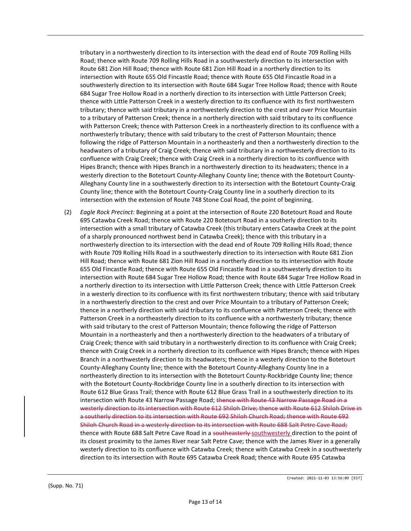tributary in a northwesterly direction to its intersection with the dead end of Route 709 Rolling Hills Road; thence with Route 709 Rolling Hills Road in a southwesterly direction to its intersection with Route 681 Zion Hill Road; thence with Route 681 Zion Hill Road in a northerly direction to its intersection with Route 655 Old Fincastle Road; thence with Route 655 Old Fincastle Road in a southwesterly direction to its intersection with Route 684 Sugar Tree Hollow Road; thence with Route 684 Sugar Tree Hollow Road in a northerly direction to its intersection with Little Patterson Creek; thence with Little Patterson Creek in a westerly direction to its confluence with its first northwestern tributary; thence with said tributary in a northwesterly direction to the crest and over Price Mountain to a tributary of Patterson Creek; thence in a northerly direction with said tributary to its confluence with Patterson Creek; thence with Patterson Creek in a northeasterly direction to its confluence with a northwesterly tributary; thence with said tributary to the crest of Patterson Mountain; thence following the ridge of Patterson Mountain in a northeasterly and then a northwesterly direction to the headwaters of a tributary of Craig Creek; thence with said tributary in a northwesterly direction to its confluence with Craig Creek; thence with Craig Creek in a northerly direction to its confluence with Hipes Branch; thence with Hipes Branch in a northwesterly direction to its headwaters; thence in a westerly direction to the Botetourt County-Alleghany County line; thence with the Botetourt County-Alleghany County line in a southwesterly direction to its intersection with the Botetourt County-Craig County line; thence with the Botetourt County-Craig County line in a southerly direction to its intersection with the extension of Route 748 Stone Coal Road, the point of beginning.

(2) Eagle Rock Precinct: Beginning at a point at the intersection of Route 220 Botetourt Road and Route 695 Catawba Creek Road; thence with Route 220 Botetourt Road in a southerly direction to its intersection with a small tributary of Catawba Creek (this tributary enters Catawba Creek at the point of a sharply pronounced northwest bend in Catawba Creek); thence with this tributary in a northwesterly direction to its intersection with the dead end of Route 709 Rolling Hills Road; thence with Route 709 Rolling Hills Road in a southwesterly direction to its intersection with Route 681 Zion Hill Road; thence with Route 681 Zion Hill Road in a northerly direction to its intersection with Route 655 Old Fincastle Road; thence with Route 655 Old Fincastle Road in a southwesterly direction to its intersection with Route 684 Sugar Tree Hollow Road; thence with Route 684 Sugar Tree Hollow Road in a northerly direction to its intersection with Little Patterson Creek; thence with Little Patterson Creek in a westerly direction to its confluence with its first northwestern tributary; thence with said tributary in a northwesterly direction to the crest and over Price Mountain to a tributary of Patterson Creek; thence in a northerly direction with said tributary to its confluence with Patterson Creek; thence with Patterson Creek in a northeasterly direction to its confluence with a northwesterly tributary; thence with said tributary to the crest of Patterson Mountain; thence following the ridge of Patterson Mountain in a northeasterly and then a northwesterly direction to the headwaters of a tributary of Craig Creek; thence with said tributary in a northwesterly direction to its confluence with Craig Creek; thence with Craig Creek in a northerly direction to its confluence with Hipes Branch; thence with Hipes Branch in a northwesterly direction to its headwaters; thence in a westerly direction to the Botetourt County-Alleghany County line; thence with the Botetourt County-Alleghany County line in a northeasterly direction to its intersection with the Botetourt County-Rockbridge County line; thence with the Botetourt County-Rockbridge County line in a southerly direction to its intersection with Route 612 Blue Grass Trail; thence with Route 612 Blue Grass Trail in a southwesterly direction to its intersection with Route 43 Narrow Passage Road; thence with Route 43 Narrow Passage Road in a westerly direction to its intersection with Route 612 Shiloh Drive; thence with Route 612 Shiloh Drive in a southerly direction to its intersection with Route 692 Shiloh Church Road; thence with Route 692 Shiloh Church Road in a westerly direction to its intersection with Route 688 Salt Petre Cave Road; thence with Route 688 Salt Petre Cave Road in a southeasterly-southwesterly direction to the point of its closest proximity to the James River near Salt Petre Cave; thence with the James River in a generally westerly direction to its confluence with Catawba Creek; thence with Catawba Creek in a southwesterly direction to its intersection with Route 695 Catawba Creek Road; thence with Route 695 Catawba